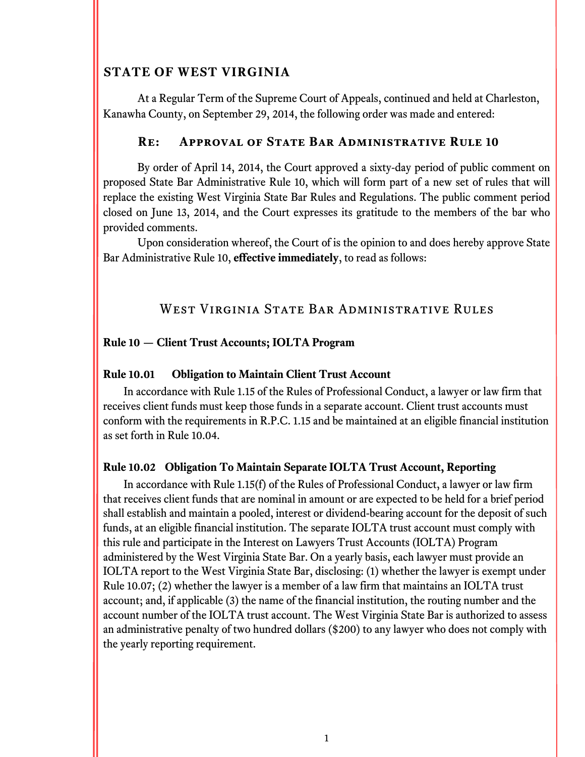# **STATE OF WEST VIRGINIA**

 At a Regular Term of the Supreme Court of Appeals, continued and held at Charleston, Kanawha County, on September 29, 2014, the following order was made and entered:

### **Re: Approval of State Bar Administrative Rule 10**

By order of April 14, 2014, the Court approved a sixty-day period of public comment on proposed State Bar Administrative Rule 10, which will form part of a new set of rules that will replace the existing West Virginia State Bar Rules and Regulations. The public comment period closed on June 13, 2014, and the Court expresses its gratitude to the members of the bar who provided comments.

Upon consideration whereof, the Court of is the opinion to and does hereby approve State Bar Administrative Rule 10, **effective immediately**, to read as follows:

# WEST VIRGINIA STATE BAR ADMINISTRATIVE RULES

## **Rule 10 — Client Trust Accounts; IOLTA Program**

### **Rule 10.01 Obligation to Maintain Client Trust Account**

In accordance with Rule 1.15 of the Rules of Professional Conduct, a lawyer or law firm that receives client funds must keep those funds in a separate account. Client trust accounts must conform with the requirements in R.P.C. 1.15 and be maintained at an eligible financial institution as set forth in Rule 10.04.

### **Rule 10.02 Obligation To Maintain Separate IOLTA Trust Account, Reporting**

In accordance with Rule 1.15(f) of the Rules of Professional Conduct, a lawyer or law firm that receives client funds that are nominal in amount or are expected to be held for a brief period shall establish and maintain a pooled, interest or dividend-bearing account for the deposit of such funds, at an eligible financial institution. The separate IOLTA trust account must comply with this rule and participate in the Interest on Lawyers Trust Accounts (IOLTA) Program administered by the West Virginia State Bar. On a yearly basis, each lawyer must provide an IOLTA report to the West Virginia State Bar, disclosing: (1) whether the lawyer is exempt under Rule 10.07; (2) whether the lawyer is a member of a law firm that maintains an IOLTA trust account; and, if applicable (3) the name of the financial institution, the routing number and the account number of the IOLTA trust account. The West Virginia State Bar is authorized to assess an administrative penalty of two hundred dollars (\$200) to any lawyer who does not comply with the yearly reporting requirement.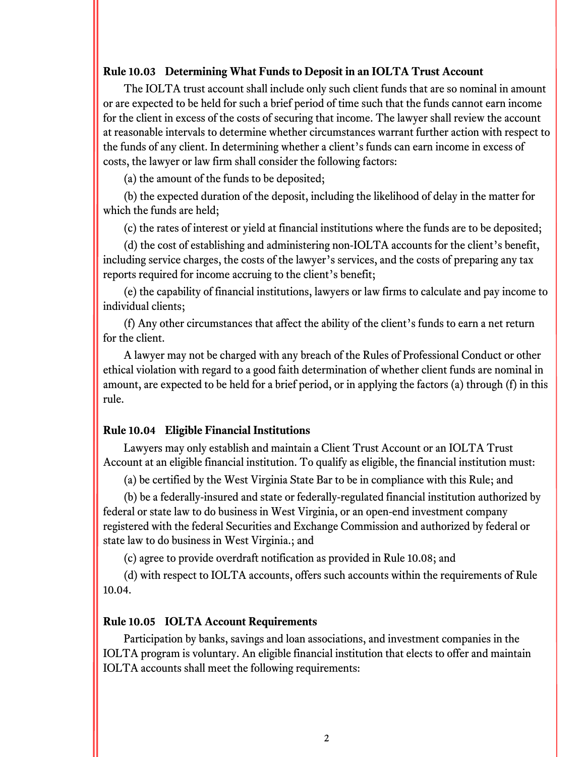#### **Rule 10.03 Determining What Funds to Deposit in an IOLTA Trust Account**

The IOLTA trust account shall include only such client funds that are so nominal in amount or are expected to be held for such a brief period of time such that the funds cannot earn income for the client in excess of the costs of securing that income. The lawyer shall review the account at reasonable intervals to determine whether circumstances warrant further action with respect to the funds of any client. In determining whether a client's funds can earn income in excess of costs, the lawyer or law firm shall consider the following factors:

(a) the amount of the funds to be deposited;

(b) the expected duration of the deposit, including the likelihood of delay in the matter for which the funds are held;

(c) the rates of interest or yield at financial institutions where the funds are to be deposited;

(d) the cost of establishing and administering non-IOLTA accounts for the client's benefit, including service charges, the costs of the lawyer's services, and the costs of preparing any tax reports required for income accruing to the client's benefit;

(e) the capability of financial institutions, lawyers or law firms to calculate and pay income to individual clients;

(f) Any other circumstances that affect the ability of the client's funds to earn a net return for the client.

A lawyer may not be charged with any breach of the Rules of Professional Conduct or other ethical violation with regard to a good faith determination of whether client funds are nominal in amount, are expected to be held for a brief period, or in applying the factors (a) through (f) in this rule.

### **Rule 10.04 Eligible Financial Institutions**

Lawyers may only establish and maintain a Client Trust Account or an IOLTA Trust Account at an eligible financial institution. To qualify as eligible, the financial institution must:

(a) be certified by the West Virginia State Bar to be in compliance with this Rule; and

(b) be a federally-insured and state or federally-regulated financial institution authorized by federal or state law to do business in West Virginia, or an open-end investment company registered with the federal Securities and Exchange Commission and authorized by federal or state law to do business in West Virginia.; and

(c) agree to provide overdraft notification as provided in Rule 10.08; and

(d) with respect to IOLTA accounts, offers such accounts within the requirements of Rule 10.04.

### **Rule 10.05 IOLTA Account Requirements**

Participation by banks, savings and loan associations, and investment companies in the IOLTA program is voluntary. An eligible financial institution that elects to offer and maintain IOLTA accounts shall meet the following requirements: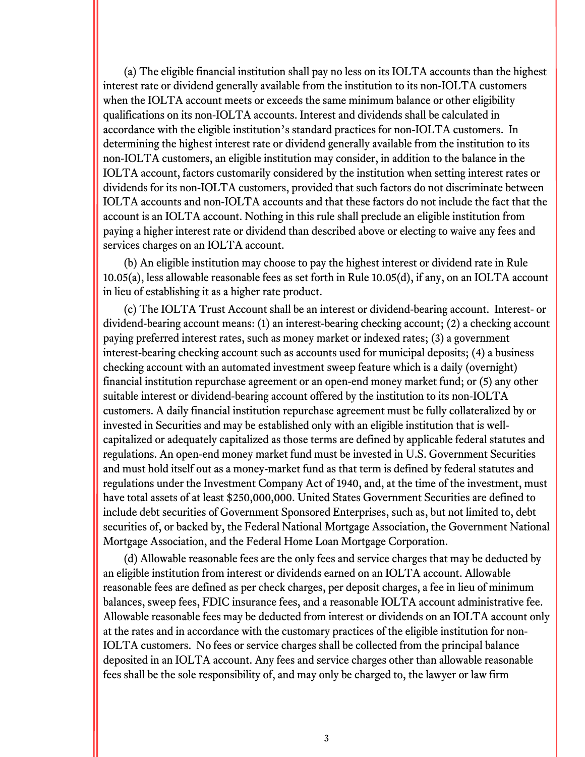(a) The eligible financial institution shall pay no less on its IOLTA accounts than the highest interest rate or dividend generally available from the institution to its non-IOLTA customers when the IOLTA account meets or exceeds the same minimum balance or other eligibility qualifications on its non-IOLTA accounts. Interest and dividends shall be calculated in accordance with the eligible institution's standard practices for non-IOLTA customers. In determining the highest interest rate or dividend generally available from the institution to its non-IOLTA customers, an eligible institution may consider, in addition to the balance in the IOLTA account, factors customarily considered by the institution when setting interest rates or dividends for its non-IOLTA customers, provided that such factors do not discriminate between IOLTA accounts and non-IOLTA accounts and that these factors do not include the fact that the account is an IOLTA account. Nothing in this rule shall preclude an eligible institution from paying a higher interest rate or dividend than described above or electing to waive any fees and services charges on an IOLTA account.

(b) An eligible institution may choose to pay the highest interest or dividend rate in Rule 10.05(a), less allowable reasonable fees as set forth in Rule 10.05(d), if any, on an IOLTA account in lieu of establishing it as a higher rate product.

(c) The IOLTA Trust Account shall be an interest or dividend-bearing account. Interest- or dividend-bearing account means: (1) an interest-bearing checking account; (2) a checking account paying preferred interest rates, such as money market or indexed rates; (3) a government interest-bearing checking account such as accounts used for municipal deposits; (4) a business checking account with an automated investment sweep feature which is a daily (overnight) financial institution repurchase agreement or an open-end money market fund; or (5) any other suitable interest or dividend-bearing account offered by the institution to its non-IOLTA customers. A daily financial institution repurchase agreement must be fully collateralized by or invested in Securities and may be established only with an eligible institution that is wellcapitalized or adequately capitalized as those terms are defined by applicable federal statutes and regulations. An open-end money market fund must be invested in U.S. Government Securities and must hold itself out as a money-market fund as that term is defined by federal statutes and regulations under the Investment Company Act of 1940, and, at the time of the investment, must have total assets of at least \$250,000,000. United States Government Securities are defined to include debt securities of Government Sponsored Enterprises, such as, but not limited to, debt securities of, or backed by, the Federal National Mortgage Association, the Government National Mortgage Association, and the Federal Home Loan Mortgage Corporation.

(d) Allowable reasonable fees are the only fees and service charges that may be deducted by an eligible institution from interest or dividends earned on an IOLTA account. Allowable reasonable fees are defined as per check charges, per deposit charges, a fee in lieu of minimum balances, sweep fees, FDIC insurance fees, and a reasonable IOLTA account administrative fee. Allowable reasonable fees may be deducted from interest or dividends on an IOLTA account only at the rates and in accordance with the customary practices of the eligible institution for non-IOLTA customers. No fees or service charges shall be collected from the principal balance deposited in an IOLTA account. Any fees and service charges other than allowable reasonable fees shall be the sole responsibility of, and may only be charged to, the lawyer or law firm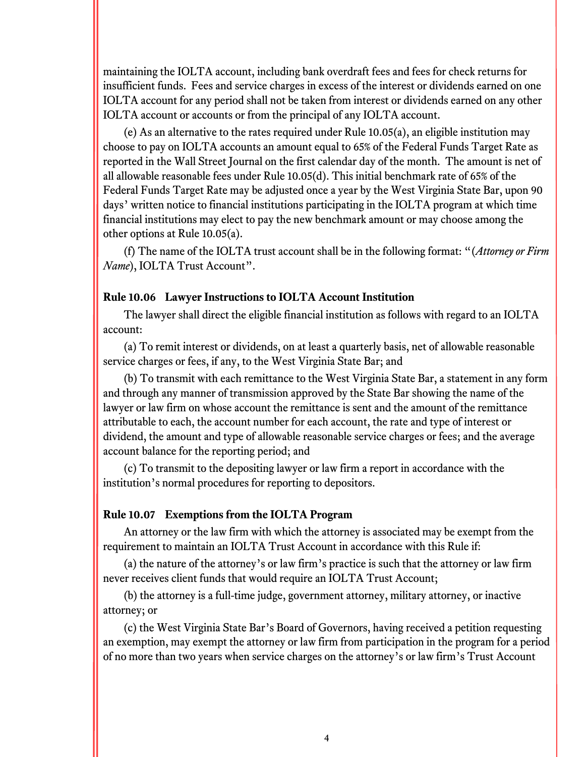maintaining the IOLTA account, including bank overdraft fees and fees for check returns for insufficient funds. Fees and service charges in excess of the interest or dividends earned on one IOLTA account for any period shall not be taken from interest or dividends earned on any other IOLTA account or accounts or from the principal of any IOLTA account.

(e) As an alternative to the rates required under Rule 10.05(a), an eligible institution may choose to pay on IOLTA accounts an amount equal to 65% of the Federal Funds Target Rate as reported in the Wall Street Journal on the first calendar day of the month. The amount is net of all allowable reasonable fees under Rule 10.05(d). This initial benchmark rate of 65% of the Federal Funds Target Rate may be adjusted once a year by the West Virginia State Bar, upon 90 days' written notice to financial institutions participating in the IOLTA program at which time financial institutions may elect to pay the new benchmark amount or may choose among the other options at Rule 10.05(a).

(f) The name of the IOLTA trust account shall be in the following format: "(*Attorney or Firm Name*), IOLTA Trust Account".

#### **Rule 10.06 Lawyer Instructions to IOLTA Account Institution**

The lawyer shall direct the eligible financial institution as follows with regard to an IOLTA account:

(a) To remit interest or dividends, on at least a quarterly basis, net of allowable reasonable service charges or fees, if any, to the West Virginia State Bar; and

(b) To transmit with each remittance to the West Virginia State Bar, a statement in any form and through any manner of transmission approved by the State Bar showing the name of the lawyer or law firm on whose account the remittance is sent and the amount of the remittance attributable to each, the account number for each account, the rate and type of interest or dividend, the amount and type of allowable reasonable service charges or fees; and the average account balance for the reporting period; and

(c) To transmit to the depositing lawyer or law firm a report in accordance with the institution's normal procedures for reporting to depositors.

#### **Rule 10.07 Exemptions from the IOLTA Program**

An attorney or the law firm with which the attorney is associated may be exempt from the requirement to maintain an IOLTA Trust Account in accordance with this Rule if:

(a) the nature of the attorney's or law firm's practice is such that the attorney or law firm never receives client funds that would require an IOLTA Trust Account;

(b) the attorney is a full-time judge, government attorney, military attorney, or inactive attorney; or

(c) the West Virginia State Bar's Board of Governors, having received a petition requesting an exemption, may exempt the attorney or law firm from participation in the program for a period of no more than two years when service charges on the attorney's or law firm's Trust Account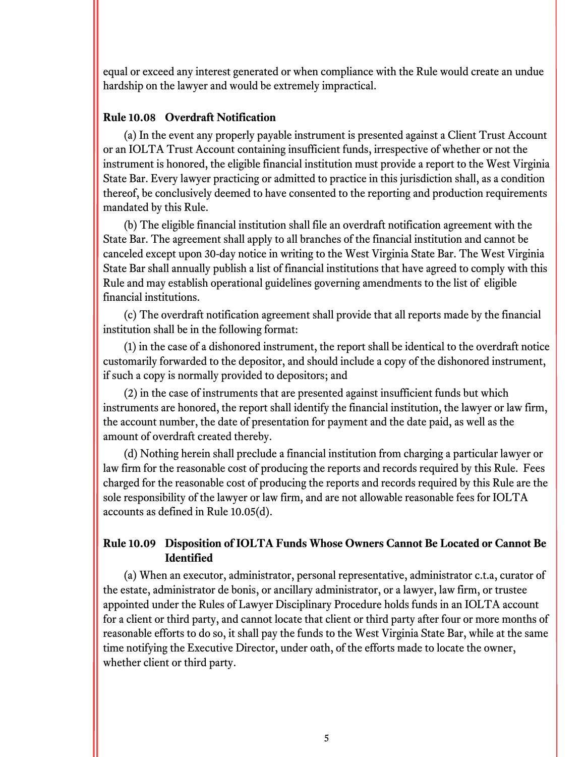equal or exceed any interest generated or when compliance with the Rule would create an undue hardship on the lawyer and would be extremely impractical.

## **Rule 10.08 Overdraft Notification**

(a) In the event any properly payable instrument is presented against a Client Trust Account or an IOLTA Trust Account containing insufficient funds, irrespective of whether or not the instrument is honored, the eligible financial institution must provide a report to the West Virginia State Bar. Every lawyer practicing or admitted to practice in this jurisdiction shall, as a condition thereof, be conclusively deemed to have consented to the reporting and production requirements mandated by this Rule.

(b) The eligible financial institution shall file an overdraft notification agreement with the State Bar. The agreement shall apply to all branches of the financial institution and cannot be canceled except upon 30-day notice in writing to the West Virginia State Bar. The West Virginia State Bar shall annually publish a list of financial institutions that have agreed to comply with this Rule and may establish operational guidelines governing amendments to the list of eligible financial institutions.

(c) The overdraft notification agreement shall provide that all reports made by the financial institution shall be in the following format:

(1) in the case of a dishonored instrument, the report shall be identical to the overdraft notice customarily forwarded to the depositor, and should include a copy of the dishonored instrument, if such a copy is normally provided to depositors; and

(2) in the case of instruments that are presented against insufficient funds but which instruments are honored, the report shall identify the financial institution, the lawyer or law firm, the account number, the date of presentation for payment and the date paid, as well as the amount of overdraft created thereby.

(d) Nothing herein shall preclude a financial institution from charging a particular lawyer or law firm for the reasonable cost of producing the reports and records required by this Rule. Fees charged for the reasonable cost of producing the reports and records required by this Rule are the sole responsibility of the lawyer or law firm, and are not allowable reasonable fees for IOLTA accounts as defined in Rule 10.05(d).

## **Rule 10.09 Disposition of IOLTA Funds Whose Owners Cannot Be Located or Cannot Be Identified**

(a) When an executor, administrator, personal representative, administrator c.t.a, curator of the estate, administrator de bonis, or ancillary administrator, or a lawyer, law firm, or trustee appointed under the Rules of Lawyer Disciplinary Procedure holds funds in an IOLTA account for a client or third party, and cannot locate that client or third party after four or more months of reasonable efforts to do so, it shall pay the funds to the West Virginia State Bar, while at the same time notifying the Executive Director, under oath, of the efforts made to locate the owner, whether client or third party.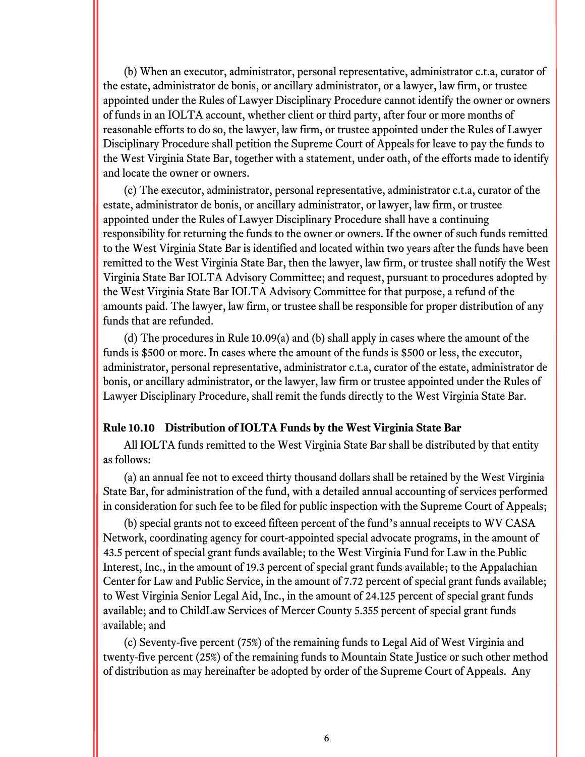(b) When an executor, administrator, personal representative, administrator c.t.a, curator of the estate, administrator de bonis, or ancillary administrator, or a lawyer, law firm, or trustee appointed under the Rules of Lawyer Disciplinary Procedure cannot identify the owner or owners of funds in an IOLTA account, whether client or third party, after four or more months of reasonable efforts to do so, the lawyer, law firm, or trustee appointed under the Rules of Lawyer Disciplinary Procedure shall petition the Supreme Court of Appeals for leave to pay the funds to the West Virginia State Bar, together with a statement, under oath, of the efforts made to identify and locate the owner or owners.

(c) The executor, administrator, personal representative, administrator c.t.a, curator of the estate, administrator de bonis, or ancillary administrator, or lawyer, law firm, or trustee appointed under the Rules of Lawyer Disciplinary Procedure shall have a continuing responsibility for returning the funds to the owner or owners. If the owner of such funds remitted to the West Virginia State Bar is identified and located within two years after the funds have been remitted to the West Virginia State Bar, then the lawyer, law firm, or trustee shall notify the West Virginia State Bar IOLTA Advisory Committee; and request, pursuant to procedures adopted by the West Virginia State Bar IOLTA Advisory Committee for that purpose, a refund of the amounts paid. The lawyer, law firm, or trustee shall be responsible for proper distribution of any funds that are refunded.

(d) The procedures in Rule 10.09(a) and (b) shall apply in cases where the amount of the funds is \$500 or more. In cases where the amount of the funds is \$500 or less, the executor, administrator, personal representative, administrator c.t.a, curator of the estate, administrator de bonis, or ancillary administrator, or the lawyer, law firm or trustee appointed under the Rules of Lawyer Disciplinary Procedure, shall remit the funds directly to the West Virginia State Bar.

### **Rule 10.10 Distribution of IOLTA Funds by the West Virginia State Bar**

All IOLTA funds remitted to the West Virginia State Bar shall be distributed by that entity as follows:

(a) an annual fee not to exceed thirty thousand dollars shall be retained by the West Virginia State Bar, for administration of the fund, with a detailed annual accounting of services performed in consideration for such fee to be filed for public inspection with the Supreme Court of Appeals;

(b) special grants not to exceed fifteen percent of the fund's annual receipts to WV CASA Network, coordinating agency for court-appointed special advocate programs, in the amount of 43.5 percent of special grant funds available; to the West Virginia Fund for Law in the Public Interest, Inc., in the amount of 19.3 percent of special grant funds available; to the Appalachian Center for Law and Public Service, in the amount of 7.72 percent of special grant funds available; to West Virginia Senior Legal Aid, Inc., in the amount of 24.125 percent of special grant funds available; and to ChildLaw Services of Mercer County 5.355 percent of special grant funds available; and

(c) Seventy-five percent (75%) of the remaining funds to Legal Aid of West Virginia and twenty-five percent (25%) of the remaining funds to Mountain State Justice or such other method of distribution as may hereinafter be adopted by order of the Supreme Court of Appeals. Any